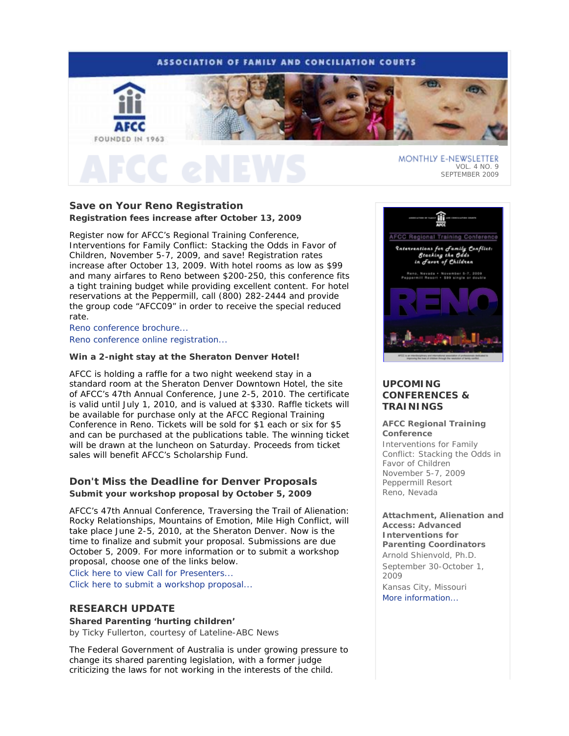# **ASSOCIATION OF FAMILY AND CONCILIATION COURTS**



# MONTHLY E-NEWSLETTER VOL. 4 NO. 9 SEPTEMBER 2009

# **Save on Your Reno Registration Registration fees increase after October 13, 2009**

Register now for AFCC's Regional Training Conference, *Interventions for Family Conflict: Stacking the Odds in Favor of Children*, November 5-7, 2009, and save! Registration rates increase after October 13, 2009. With hotel rooms as low as \$99 and many airfares to Reno between \$200-250, this conference fits a tight training budget while providing excellent content. For hotel reservations at the Peppermill, call (800) 282-2444 and provide the group code "AFCC09" in order to receive the special reduced rate.

Reno conference brochure... Reno conference online registration...

### **Win a 2-night stay at the Sheraton Denver Hotel!**

AFCC is holding a raffle for a two night weekend stay in a standard room at the Sheraton Denver Downtown Hotel, the site of AFCC's 47th Annual Conference, June 2-5, 2010. The certificate is valid until July 1, 2010, and is valued at \$330. Raffle tickets will be available for purchase only at the AFCC Regional Training Conference in Reno. Tickets will be sold for \$1 each or six for \$5 and can be purchased at the publications table. The winning ticket will be drawn at the luncheon on Saturday. Proceeds from ticket sales will benefit AFCC's Scholarship Fund.

# **Don't Miss the Deadline for Denver Proposals Submit your workshop proposal by October 5, 2009**

AFCC's 47th Annual Conference, *Traversing the Trail of Alienation: Rocky Relationships, Mountains of Emotion, Mile High Conflict*, will take place June 2-5, 2010, at the Sheraton Denver. Now is the time to finalize and submit your proposal. Submissions are due October 5, 2009. For more information or to submit a workshop proposal, choose one of the links below.

Click here to view Call for Presenters... Click here to submit a workshop proposal...

# **RESEARCH UPDATE**

# **Shared Parenting 'hurting children'**

*by Ticky Fullerton, courtesy of Lateline-ABC News* 

The Federal Government of Australia is under growing pressure to change its shared parenting legislation, with a former judge criticizing the laws for not working in the interests of the child.



# **UPCOMING CONFERENCES & TRAININGS**

### **AFCC Regional Training Conference**

*Interventions for Family Conflict: Stacking the Odds in Favor of Children*  November 5-7, 2009 Peppermill Resort Reno, Nevada

**Attachment, Alienation and Access: Advanced Interventions for Parenting Coordinators** *Arnold Shienvold, Ph.D.* September 30-October 1, 2009 Kansas City, Missouri More information...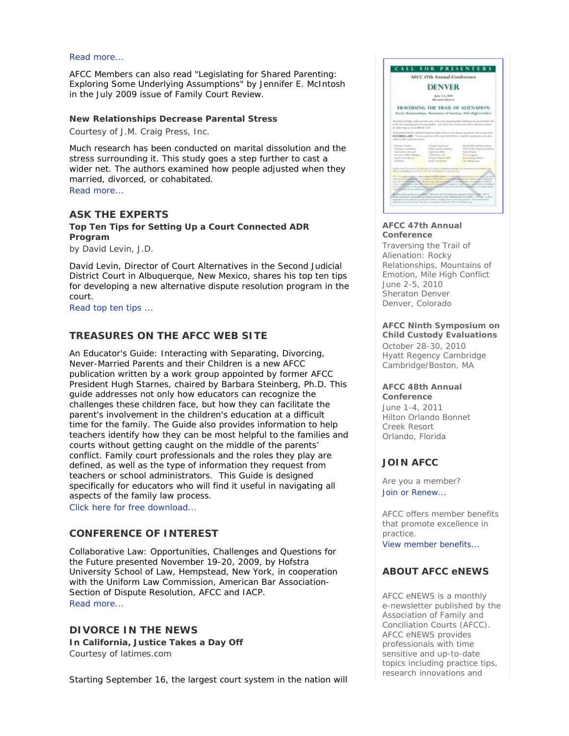### Read more...

AFCC Members can also read "Legislating for Shared Parenting: Exploring Some Underlying Assumptions" by Jennifer E. McIntosh in the July 2009 issue of *Family Court Review*.

## **New Relationships Decrease Parental Stress**

*Courtesy of J.M. Craig Press, Inc.* 

Much research has been conducted on marital dissolution and the stress surrounding it. This study goes a step further to cast a wider net. The authors examined how people adjusted when they married, divorced, or cohabitated.

Read more...

## **ASK THE EXPERTS**

**Top Ten Tips for Setting Up a Court Connected ADR Program** 

*by David Levin, J.D.* 

David Levin, Director of Court Alternatives in the Second Judicial District Court in Albuquerque, New Mexico, shares his top ten tips for developing a new alternative dispute resolution program in the court.

Read top ten tips ...

# **TREASURES ON THE AFCC WEB SITE**

*An Educator's Guide: Interacting with Separating, Divorcing, Never-Married Parents and their Children* is a new AFCC publication written by a work group appointed by former AFCC President Hugh Starnes, chaired by Barbara Steinberg, Ph.D. This guide addresses not only how educators can recognize the challenges these children face, but how they can facilitate the parent's involvement in the children's education at a difficult time for the family. The Guide also provides information to help teachers identify how they can be most helpful to the families and courts without getting caught on the middle of the parents' conflict. Family court professionals and the roles they play are defined, as well as the type of information they request from teachers or school administrators. This Guide is designed specifically for educators who will find it useful in navigating all aspects of the family law process.

Click here for free download...

# **CONFERENCE OF INTEREST**

*Collaborative Law: Opportunities, Challenges and Questions for the Future* presented November 19-20, 2009, by Hofstra University School of Law, Hempstead, New York, in cooperation with the Uniform Law Commission, American Bar Association-Section of Dispute Resolution, AFCC and IACP. Read more...

# **DIVORCE IN THE NEWS**

**In California, Justice Takes a Day Off**  *Courtesy of latimes.com* 

Starting September 16, the largest court system in the nation will



## **AFCC 47th Annual Conference**

*Traversing the Trail of Alienation: Rocky Relationships, Mountains of Emotion, Mile High Conflict* June 2-5, 2010 Sheraton Denver Denver, Colorado

### **AFCC Ninth Symposium on Child Custody Evaluations**

October 28-30, 2010 Hyatt Regency Cambridge Cambridge/Boston, MA

#### **AFCC 48th Annual Conference**

June 1-4, 2011 Hilton Orlando Bonnet Creek Resort Orlando, Florida

### **JOIN AFCC**

Are you a member? Join or Renew...

AFCC offers member benefits that promote excellence in practice. View member benefits...

# **ABOUT AFCC eNEWS**

*AFCC eNEWS* is a monthly e-newsletter published by the Association of Family and Conciliation Courts (AFCC). *AFCC eNEWS* provides professionals with time sensitive and up-to-date topics including practice tips, research innovations and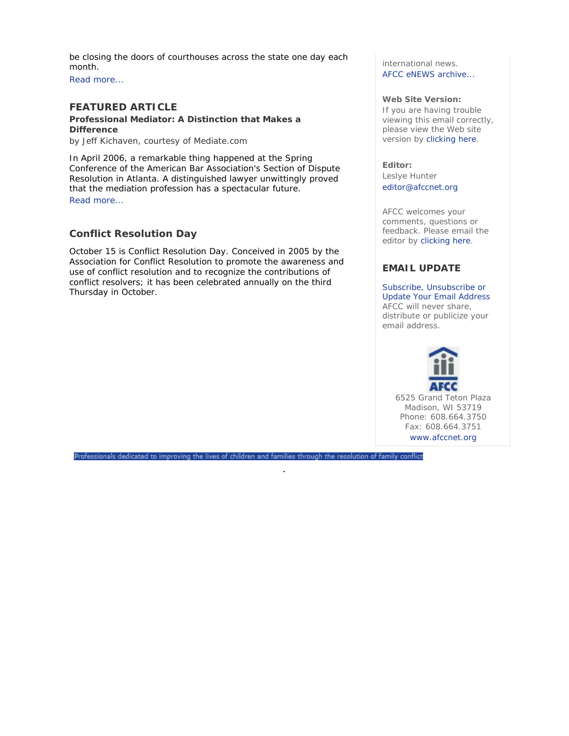be closing the doors of courthouses across the state one day each month.

Read more...

# **FEATURED ARTICLE**

**Professional Mediator: A Distinction that Makes a Difference** 

*by Jeff Kichaven, courtesy of Mediate.com* 

In April 2006, a remarkable thing happened at the Spring Conference of the American Bar Association's Section of Dispute Resolution in Atlanta. A distinguished lawyer unwittingly proved that the mediation profession has a spectacular future. Read more...

# **Conflict Resolution Day**

October 15 is Conflict Resolution Day. Conceived in 2005 by the Association for Conflict Resolution to promote the awareness and use of conflict resolution and to recognize the contributions of conflict resolvers; it has been celebrated annually on the third Thursday in October.

international news. AFCC eNEWS archive...

### **Web Site Version:**

If you are having trouble viewing this email correctly, please view the Web site version by clicking here.

**Editor:** 

Leslye Hunter editor@afccnet.org

AFCC welcomes your comments, questions or feedback. Please email the editor by clicking here.

# **EMAIL UPDATE**

Subscribe, Unsubscribe or Update Your Email Address AFCC will never share, distribute or publicize your email address.



Professionals dedicated to improving the lives of children and families through the resolution of family conflict

.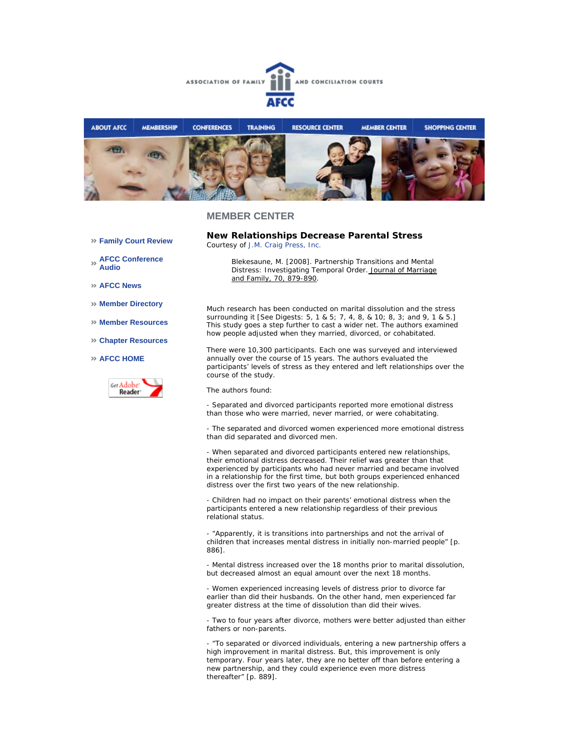



### **MEMBER CENTER**

- **Family Court Review**
- **AFCC Conference Audio**
- **AFCC News**
- **Member Directory**
- **Member Resources**
- **Chapter Resources**

### **AFCC HOME**



**New Relationships Decrease Parental Stress**  *Courtesy of J.M. Craig Press, Inc.*

> *Blekesaune, M. [2008]. Partnership Transitions and Mental Distress: Investigating Temporal Order. Journal of Marriage and Family, 70, 879-890.*

Much research has been conducted on marital dissolution and the stress surrounding it [See Digests: 5, 1 & 5; 7, 4, 8, & 10; 8, 3; and 9, 1 & 5.] This study goes a step further to cast a wider net. The authors examined how people adjusted when they married, divorced, or cohabitated.

There were 10,300 participants. Each one was surveyed and interviewed annually over the course of 15 years. The authors evaluated the participants' levels of stress as they entered and left relationships over the course of the study.

The authors found:

- Separated and divorced participants reported more emotional distress than those who were married, never married, or were cohabitating.

- The separated and divorced women experienced more emotional distress than did separated and divorced men.

- When separated and divorced participants entered new relationships, their emotional distress decreased. Their relief was greater than that experienced by participants who had never married and became involved in a relationship for the first time, but both groups experienced enhanced distress over the first two years of the new relationship.

- Children had no impact on their parents' emotional distress when the participants entered a new relationship regardless of their previous relational status.

- "Apparently, it is transitions into partnerships and not the arrival of children that increases mental distress in initially non-married people" [p. 886].

- Mental distress increased over the 18 months prior to marital dissolution, but decreased almost an equal amount over the next 18 months.

- Women experienced increasing levels of distress prior to divorce far earlier than did their husbands. On the other hand, men experienced far greater distress at the time of dissolution than did their wives.

- Two to four years after divorce, mothers were better adjusted than either fathers or non-parents.

- "To separated or divorced individuals, entering a new partnership offers a high improvement in marital distress. But, this improvement is only temporary. Four years later, they are no better off than before entering a new partnership, and they could experience even more distress thereafter" [p. 889].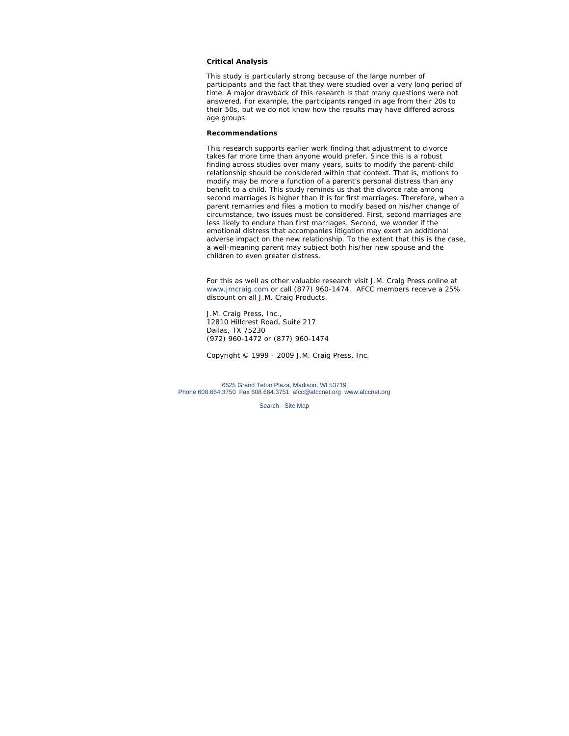### **Critical Analysis**

This study is particularly strong because of the large number of participants and the fact that they were studied over a very long period of time. A major drawback of this research is that many questions were not answered. For example, the participants ranged in age from their 20s to their 50s, but we do not know how the results may have differed across age groups.

### **Recommendations**

This research supports earlier work finding that adjustment to divorce takes far more time than anyone would prefer. Since this is a robust finding across studies over many years, suits to modify the parent-child relationship should be considered within that context. That is, motions to modify may be more a function of a parent's personal distress than any benefit to a child. This study reminds us that the divorce rate among second marriages is higher than it is for first marriages. Therefore, when a parent remarries and files a motion to modify based on his/her change of circumstance, two issues must be considered. First, second marriages are less likely to endure than first marriages. Second, we wonder if the emotional distress that accompanies litigation may exert an additional adverse impact on the new relationship. To the extent that this is the case, a well-meaning parent may subject both his/her new spouse and the children to even greater distress.

*For this as well as other valuable research visit J.M. Craig Press online at www.jmcraig.com or call (877) 960-1474. AFCC members receive a 25% discount on all J.M. Craig Products.*

J.M. Craig Press, Inc., 12810 Hillcrest Road, Suite 217 Dallas, TX 75230 (972) 960-1472 or (877) 960-1474

*Copyright © 1999 - 2009 J.M. Craig Press, Inc.*

6525 Grand Teton Plaza, Madison, WI 53719 Phone 608.664.3750 Fax 608.664.3751 afcc@afccnet.org www.afccnet.org

Search - Site Map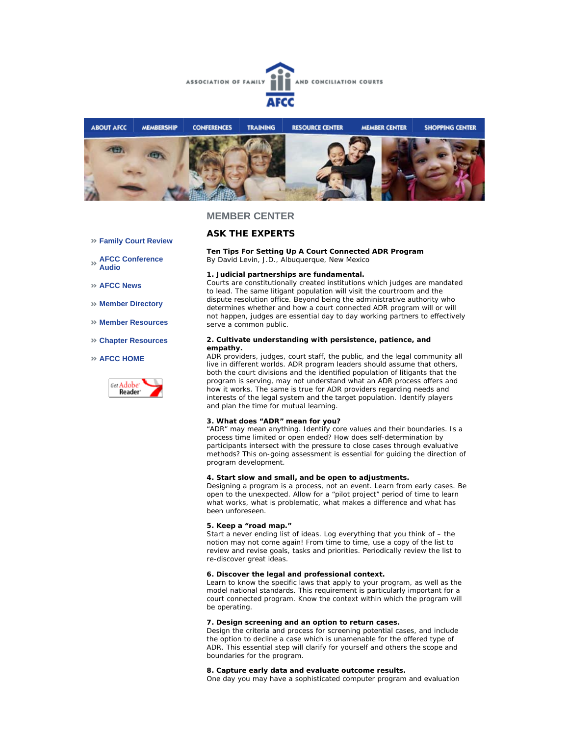



### **MEMBER CENTER**

## **ASK THE EXPERTS**

**Ten Tips For Setting Up A Court Connected ADR Program** *By David Levin, J.D., Albuquerque, New Mexico* 

#### **1. Judicial partnerships are fundamental.**

Courts are constitutionally created institutions which judges are mandated to lead. The same litigant population will visit the courtroom and the dispute resolution office. Beyond being the administrative authority who determines whether and how a court connected ADR program will or will not happen, judges are essential day to day working partners to effectively serve a common public.

#### **2. Cultivate understanding with persistence, patience, and empathy.**

ADR providers, judges, court staff, the public, and the legal community all live in different worlds. ADR program leaders should assume that others, both the court divisions and the identified population of litigants that the program is serving, may not understand what an ADR process offers and how it works. The same is true for ADR providers regarding needs and interests of the legal system and the target population. Identify players and plan the time for mutual learning.

#### **3. What does "ADR" mean for you?**

"ADR" may mean anything. Identify core values and their boundaries. Is a process time limited or open ended? How does self-determination by participants intersect with the pressure to close cases through evaluative methods? This on-going assessment is essential for guiding the direction of program development.

#### **4. Start slow and small, and be open to adjustments.**

Designing a program is a process, not an event. Learn from early cases. Be open to the unexpected. Allow for a "pilot project" period of time to learn what works, what is problematic, what makes a difference and what has been unforeseen.

### **5. Keep a "road map."**

Start a never ending list of ideas. Log everything that you think of – the notion may not come again! From time to time, use a copy of the list to review and revise goals, tasks and priorities. Periodically review the list to re-discover great ideas.

### **6. Discover the legal and professional context.**

Learn to know the specific laws that apply to your program, as well as the model national standards. This requirement is particularly important for a court connected program. Know the context within which the program will be operating.

#### **7. Design screening and an option to return cases.**

Design the criteria and process for screening potential cases, and include the option to decline a case which is unamenable for the offered type of ADR. This essential step will clarify for yourself and others the scope and boundaries for the program.

#### **8. Capture early data and evaluate outcome results.**

One day you may have a sophisticated computer program and evaluation

- **Family Court Review**
- **AFCC Conference Audio**
- **AFCC News**
- **Member Directory**
- **Member Resources**
- **Chapter Resources**

### **AFCC HOME**